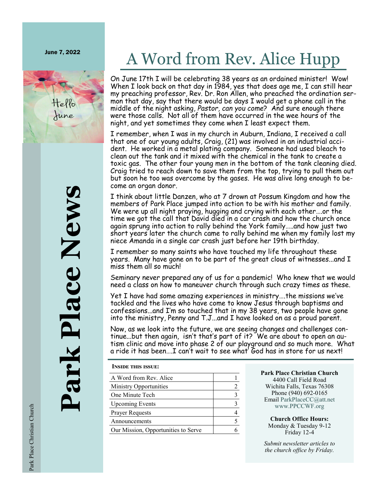June 7, 2022



# A Word from Rev. Alice Hupp

On June 17th I will be celebrating 38 years as an ordained minister! Wow! When I look back on that day in 1984, yes that does age me, I can still hear my preaching professor, Rev. Dr. Ron Allen, who preached the ordination sermon that day, say that there would be days I would get a phone call in the middle of the night asking, *Pastor, can you come*? And sure enough there were those calls. Not all of them have occurred in the wee hours of the night, and yet sometimes they come when I least expect them.

I remember, when I was in my church in Auburn, Indiana, I received a call that one of our young adults, Craig, (21) was involved in an industrial accident. He worked in a metal plating company. Someone had used bleach to clean out the tank and it mixed with the chemical in the tank to create a toxic gas. The other four young men in the bottom of the tank cleaning died. Craig tried to reach down to save them from the top, trying to pull them out but soon he too was overcome by the gases. He was alive long enough to become an organ donor.

I think about little Danzen, who at 7 drown at Possum Kingdom and how the members of Park Place jumped into action to be with his mother and family. We were up all night praying, hugging and crying with each other….or the time we got the call that David died in a car crash and how the church once again sprung into action to rally behind the York family…..and how just two short years later the church came to rally behind me when my family lost my niece Amanda in a single car crash just before her 19th birthday.

I remember so many saints who have touched my life throughout these years. Many have gone on to be part of the great clous of witnesses...and I miss them all so much!

Seminary never prepared any of us for a pandemic! Who knew that we would need a class on how to maneuver church through such crazy times as these.

Yet I have had some amazing experiences in ministry….the missions we've tackled and the lives who have come to know Jesus through baptisms and confessions...and I'm so touched that in my 38 years, two people have gone into the ministry, Penny and T.J...and I have looked on as a proud parent.

Now, as we look into the future, we are seeing changes and challenges continue...but then again, isn't that's part of it? We are about to open an autism clinic and move into phase 2 of our playground and so much more. What a ride it has been….I can't wait to see what' God has in store for us next!

**Inside this issue:**

| A Word from Rev. Alice              |  |
|-------------------------------------|--|
| Ministry Opportunities              |  |
| One Minute Tech                     |  |
| <b>Upcoming Events</b>              |  |
| <b>Prayer Requests</b>              |  |
| Announcements                       |  |
| Our Mission, Opportunities to Serve |  |

**Park Place Christian Church** 4400 Call Field Road Wichita Falls, Texas 76308 Phone (940) 692-0165 Email [ParkPlaceCC@att.net](mailto:ParkPlaceCC@att.net) [www.PPCCWF.org](http://www.ppccwf.org)

**Church Office Hours:** Monday & Tuesday 9-12 Friday 12-4

*Submit newsletter articles to the church office by Friday.* 

**Park Place News** ark Place News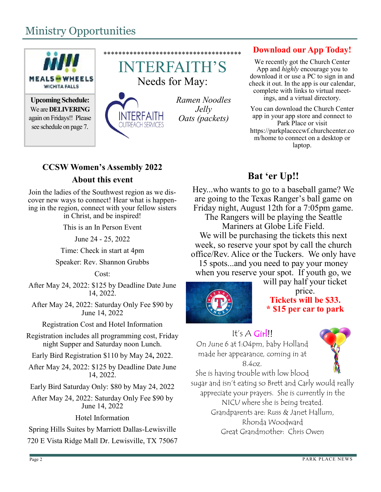# Ministry Opportunities



**Upcoming Schedule:** We are **DELIVERING** again on Fridays!! Please see schedule on page 7.



**NTERFAITH OUTREACH SERVICES** 

\*\*\*\*\*\*\*\*\*\*\*\*\*\*\*\*\*\*\*\*\*\*\*\*\*\*\*\*\*\*\*\*\*\*\*\*\*

*Ramen Noodles Jelly Oats (packets)*

### **Download our App Today!**

We recently got the Church Center App and *highly* encourage you to download it or use a PC to sign in and check it out. In the app is our calendar, complete with links to virtual meetings, and a virtual directory.

You can download the Church Center app in your app store and connect to Park Place or visit https://parkplaceccwf.churchcenter.co m/home to connect on a desktop or laptop.

### **CCSW Women's Assembly 2022 About this event**

Join the ladies of the Southwest region as we discover new ways to connect! Hear what is happening in the region, connect with your fellow sisters in Christ, and be inspired!

This is an In Person Event

June 24 - 25, 2022

Time: Check in start at 4pm

Speaker: Rev. Shannon Grubbs

### Cost:

After May 24, 2022: \$125 by Deadline Date June 14, 2022.

After May 24, 2022: Saturday Only Fee \$90 by June 14, 2022

Registration Cost and Hotel Information

Registration includes all programming cost, Friday night Supper and Saturday noon Lunch.

Early Bird Registration \$110 by May 24**,** 2022.

After May 24, 2022: \$125 by Deadline Date June 14, 2022.

Early Bird Saturday Only: \$80 by May 24, 2022

After May 24, 2022: Saturday Only Fee \$90 by June 14, 2022

Hotel Information

Spring Hills Suites by Marriott Dallas-Lewisville

720 E Vista Ridge Mall Dr. Lewisville, TX 75067

### **Bat 'er Up!!**

Hey...who wants to go to a baseball game? We are going to the Texas Ranger's ball game on Friday night, August 12th for a 7:05pm game.

The Rangers will be playing the Seattle Mariners at Globe Life Field. We will be purchasing the tickets this next week, so reserve your spot by call the church office/Rev. Alice or the Tuckers. We only have 15 spots...and you need to pay your money when you reserve your spot. If youth go, we



will pay half your ticket price. **Tickets will be \$33.**

# **\* \$15 per car to park**

### It's A Girl!!

On June 6 at 1:04pm, baby Holland made her appearance, coming in at 8.4oz.



She is having trouble with low blood sugar and isn't eating so Brett and Carly would really appreciate your prayers. She is currently in the NICU where she is being treated. Grandparents are: Russ & Janet Hallum, Rhonda Woodward Great Grandmother: Chris Owen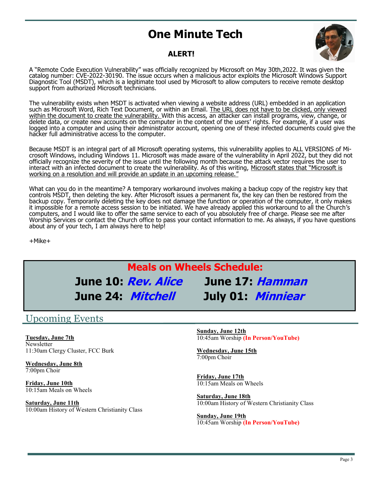### Ī **One Minute Tech**



### **ALERT!**

A "Remote Code Execution Vulnerability" was officially recognized by Microsoft on May 30th,2022. It was given the catalog number: CVE-2022-30190. The issue occurs when a malicious actor exploits the Microsoft Windows Support Diagnostic Tool (MSDT), which is a legitimate tool used by Microsoft to allow computers to receive remote desktop support from authorized Microsoft technicians.

The vulnerability exists when MSDT is activated when viewing a website address (URL) embedded in an application such as Microsoft Word, Rich Text Document, or within an Email. The URL does not have to be clicked, only viewed within the document to create the vulnerability. With this access, an attacker can install programs, view, change, or delete data, or create new accounts on the computer in the context of the users' rights. For example, if a user was logged into a computer and using their administrator account, opening one of these infected documents could give the hacker full administrative access to the computer.

Because MSDT is an integral part of all Microsoft operating systems, this vulnerability applies to ALL VERSIONS of Microsoft Windows, including Windows 11. Microsoft was made aware of the vulnerability in April 2022, but they did not officially recognize the severity of the issue until the following month because the attack vector requires the user to interact with an infected document to create the vulnerability. As of this writing, Microsoft states that "Microsoft is working on a resolution and will provide an update in an upcoming release."

What can you do in the meantime? A temporary workaround involves making a backup copy of the registry key that controls MSDT, then deleting the key. After Microsoft issues a permanent fix, the key can then be restored from the backup copy. Temporarily deleting the key does not damage the function or operation of the computer, it only makes it impossible for a remote access session to be initiated. We have already applied this workaround to all the Church's computers, and I would like to offer the same service to each of you absolutely free of charge. Please see me after Worship Services or contact the Church office to pass your contact information to me. As always, if you have questions about any of your tech, I am always here to help!

+Mike+

# **Meals on Wheels Schedule: June 10: Rev. Alice June 17: Hamman June 24: Mitchell July 01: Minniear**

### Upcoming Events

**Tuesday, June 7th Newsletter** 11:30am Clergy Cluster, FCC Burk

**Wednesday, June 8th** 7:00pm Choir

**Friday, June 10th** 10:15am Meals on Wheels

**Saturday, June 11th** 10:00am History of Western Christianity Class **Sunday, June 12th** 10:45am Worship **(In Person/YouTube)**

**Wednesday, June 15th**  7:00pm Choir

**Friday, June 17th** 10:15am Meals on Wheels

**Saturday, June 18th** 10:00am History of Western Christianity Class

**Sunday, June 19th** 10:45am Worship **(In Person/YouTube)**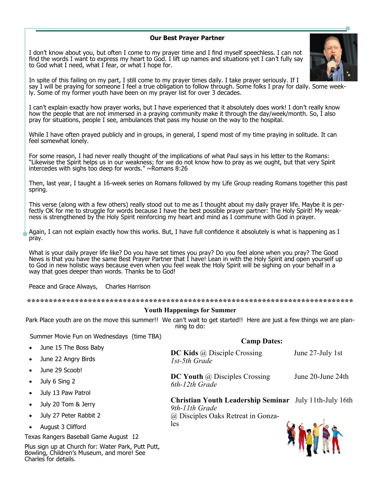#### **Our Best Prayer Partner**

I don't know about you, but often I come to my prayer time and I find myself speechless. I can not find the words I want to express my heart to God. I lift up names and situations yet I can't fully say to God what I need, what I fear, or what I hope for.



In spite of this failing on my part, I still come to my prayer times daily. I take prayer seriously. If I say I will be praying for someone I feel a true obligation to follow through. Some folks I pray for daily. Some weekly. Some of my former youth have been on my prayer list for over 3 decades.

I can't explain exactly how prayer works, but I have experienced that it absolutely does work! I don't really know how the people that are not immersed in a praying community make it through the day/week/month. So, I also pray for situations, people I see, ambulances that pass my house on the way to the hospital.

While I have often prayed publicly and in groups, in general, I spend most of my time praying in solitude. It can feel somewhat lonely.

For some reason, I had never really thought of the implications of what Paul says in his letter to the Romans: "Likewise the Spirit helps us in our weakness; for we do not know how to pray as we ought, but that very Spirit intercedes with sighs too deep for words."  $\sim$ Romans 8:26

Then, last year, I taught a 16-week series on Romans followed by my Life Group reading Romans together this past spring.

This verse (along with a few others) really stood out to me as I thought about my daily prayer life. Maybe it is perfectly OK for me to struggle for words because I have the best possible prayer partner: The Holy Spirit! My weakness is strengthened by the Holy Spirit reinforcing my heart and mind as I commune with God in prayer.

Again, I can not explain exactly how this works. But, I have full confidence it absolutely is what is happening as I pray.

What is your daily prayer life like? Do you have set times you pray? Do you feel alone when you pray? The Good News is that you have the same Best Prayer Partner that I have! Lean in with the Holy Spirit and open yourself up to God in new holistic ways because even when you feel weak the Holy Spirit will be sighing on your behalf in a way that goes deeper than words. Thanks be to God!

Peace and Grace Always, Charles Harrison

**\*\*\*\*\*\*\*\*\*\*\*\*\*\*\*\*\*\*\*\*\*\*\*\*\*\*\*\*\*\*\*\*\*\*\*\*\*\*\*\*\*\*\*\*\*\*\*\*\*\*\*\*\*\*\*\*\*\*\*\*\*\*\*\*\*\*\*\*\*\*\*\*\*\*\***

#### **Youth Happenings for Summer**

Park Place youth are on the move this summer!! We can't wait to get started!! Here are just a few things we are planning to do:

**Camp Dates:**

**HAS trip** 

Summer Movie Fun on Wednesdays (time TBA)

| $\bullet$ | June 15 The Boss Baby                                                                                                                                                                                                           | <b>DC Kids</b> $\omega$ Disciple Crossing                                | June 27-July 1st  |
|-----------|---------------------------------------------------------------------------------------------------------------------------------------------------------------------------------------------------------------------------------|--------------------------------------------------------------------------|-------------------|
|           | June 22 Angry Birds                                                                                                                                                                                                             | 1st-5th Grade                                                            |                   |
|           | June 29 Scoob!                                                                                                                                                                                                                  |                                                                          |                   |
|           | July 6 Sing 2                                                                                                                                                                                                                   | <b>DC Youth</b> $\omega$ Disciples Crossing<br>6th-12th Grade            | June 20-June 24th |
|           | July 13 Paw Patrol                                                                                                                                                                                                              |                                                                          |                   |
|           | July 20 Tom & Jerry                                                                                                                                                                                                             | Christian Youth Leadership Seminar July 11th-July 16th<br>9th-11th Grade |                   |
|           | July 27 Peter Rabbit 2                                                                                                                                                                                                          | @ Disciples Oaks Retreat in Gonza-                                       |                   |
|           | August 3 Clifford                                                                                                                                                                                                               | les                                                                      |                   |
|           | Texas Rangers Baseball Game August 12                                                                                                                                                                                           |                                                                          |                   |
|           | $\sim$ . On the state is the state of the state of the state of the state of the state of the state of the state of the state of the state of the state of the state of the state of the state of the state of the state of the |                                                                          |                   |

Plus sign up at Church for: Water Park, Putt Putt, Bowling, Children's Museum, and more! See Charles for details.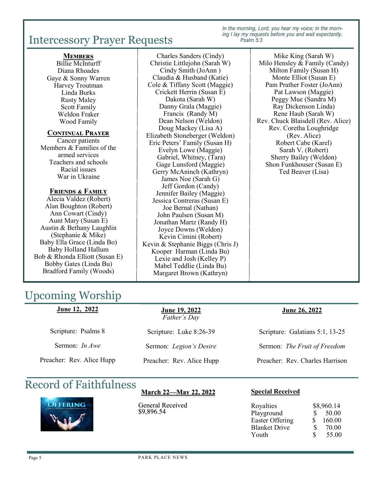# Intercessory Prayer Requests

*In the morning, Lord, you hear my voice; in the morning I lay my requests before you and wait expectantly. Psalm 5:3*

#### **Members**

Billie McInturff Diana Rhoades Gaye & Sonny Warren Harvey Troutman Linda Burks Rusty Maley Scott Family Weldon Fraker Wood Family

#### **Continual Prayer**

Cancer patients Members & Families of the armed services Teachers and schools Racial issues War in Ukraine

#### **Friends & Family**

Alecia Valdez (Robert) Alan Boughton (Robert) Ann Cowart (Cindy) Aunt Mary (Susan E) Austin & Bethany Laughlin (Stephanie & Mike) Baby Ella Grace (Linda Bo) Baby Holland Hallum Bob & Rhonda Elliott (Susan E) Bobby Gates (Linda Bu) Bradford Family (Woods)

#### Charles Sanders (Cindy) Christie Littlejohn (Sarah W) Cindy Smith (JoAnn ) Claudia & Husband (Katie) Cole & Tiffany Scott (Maggie) Crickett Herrin (Susan E) Dakota (Sarah W) Danny Grala (Maggie) Francis (Randy M) Dean Nelson (Weldon) Doug Mackey (Lisa A) Elizabeth Stoneberger (Weldon) Eric Peters' Family (Susan H) Evelyn Lowe (Maggie) Gabriel, Whitney, (Tara) Gage Lunsford (Maggie) Gerry McAninch (Kathryn) James Noe (Sarah G) Jeff Gordon (Candy) Jennifer Bailey (Maggie) Jessica Contreras (Susan E) Joe Bernal (Nathan) John Paulsen (Susan M) Jonathan Martz (Randy H) Joyce Downs (Weldon) Kevin Cimini (Robert) Kevin & Stephanie Biggs (Chris J) Kooper Harman (Linda Bu) Lexie and Josh (Kelley P) Mabel Teddlie (Linda Bu) Margaret Brown (Kathryn)

*Please call the church office or*  Ted Beaver (Lisa) Mike King (Sarah W) Milo Hensley & Family (Candy) Milton Family (Susan H) Monte Elliot (Susan E) Pam Prather Foster (JoAnn) Pat Lawson (Maggie) Peggy Mue (Sandra M) Ray Dickenson Linda) Rene Haub (Sarah W) Rev. Chuck Blaisdell (Rev. Alice) Rev. Coretha Loughridge (Rev. Alice) Robert Cabe (Karel) Sarah V. (Robert) Sherry Bailey (Weldon) Shon Funkhouser (Susan E)

# Upcoming Worship

| <u>June 12, 2022</u>      | <u>June 19, 2022</u><br>Father's Day | <b>June 26, 2022</b>            |
|---------------------------|--------------------------------------|---------------------------------|
| Scripture: Psalms 8       | Scripture: Luke 8:26-39              | Scripture: Galatians 5:1, 13-25 |
| Sermon: <i>In Awe</i>     | Sermon: Legion's Desire              | Sermon: The Fruit of Freedom    |
| Preacher: Rev. Alice Hupp | Preacher: Rev. Alice Hupp            | Preacher: Rev. Charles Harrison |

# Record of Faithfulness



### **March 22—May 22, 2022**

General Received \$9,896.54

## **Special Received**

| Royalties              |    | \$8,960.14 |
|------------------------|----|------------|
| Playground             | S. | 50.00      |
| <b>Easter Offering</b> | S. | 160.00     |
| <b>Blanket Drive</b>   | S  | 70.00      |
| Youth                  | S  | 55.00      |